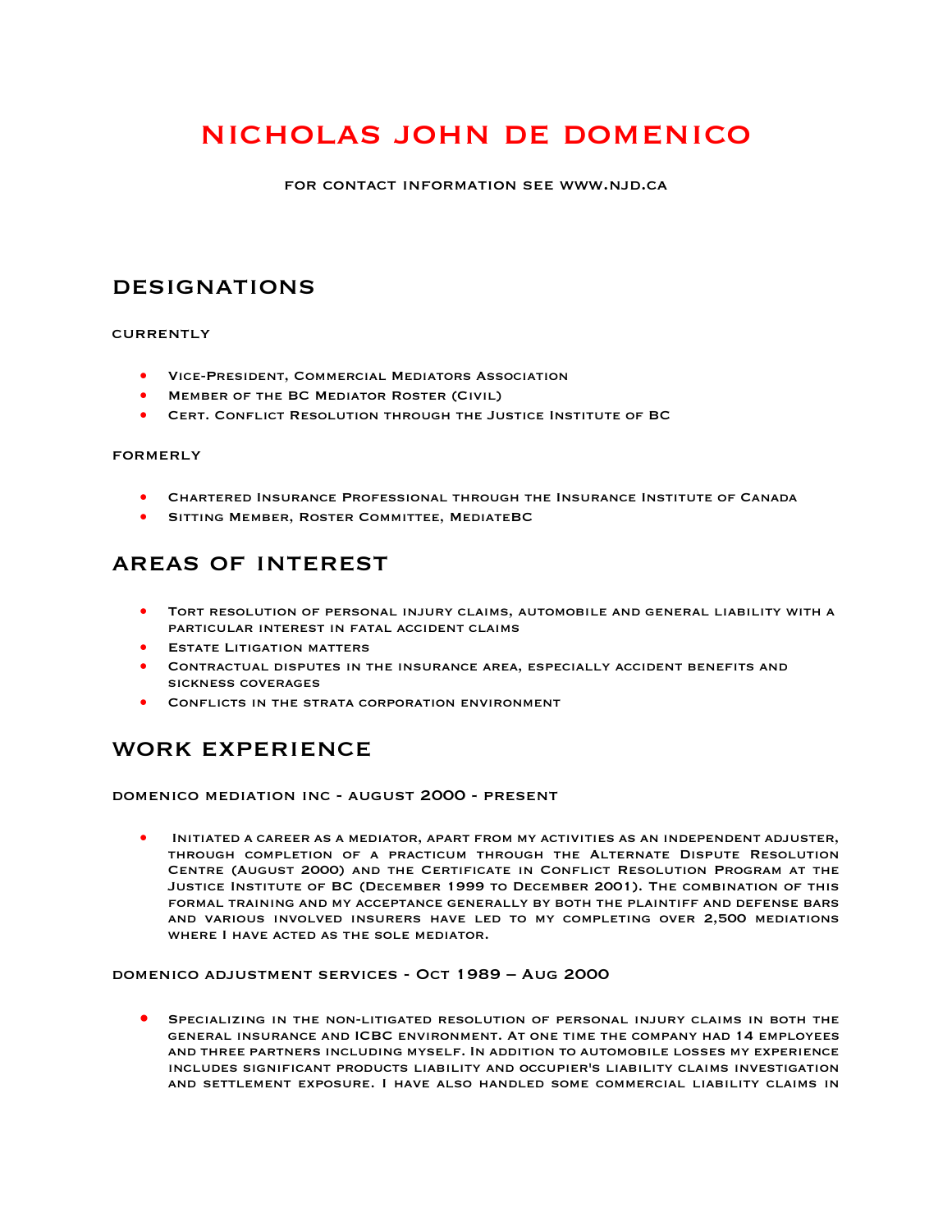# nicholas john de domenico

for contact information see www.njd.ca

### **DESIGNATIONS**

#### **CURRENTLY**

- Vice-President, Commercial Mediators Association
- Member of the BC Mediator Roster (Civil)
- Cert. Conflict Resolution through the Justice Institute of BC

#### formerly

- Chartered Insurance Professional through the Insurance Institute of Canada
- SITTING MEMBER, ROSTER COMMITTEE, MEDIATEBC

### areas of interest

- Tort resolution of personal injury claims, automobile and general liability with a particular interest in fatal accident claims
- **ESTATE LITIGATION MATTERS**
- Contractual disputes in the insurance area, especially accident benefits and sickness coverages
- CONFLICTS IN THE STRATA CORPORATION ENVIRONMENT

### work experience

domenico mediation inc - august 2000 - present

• Initiated a career as a mediator, apart from my activities as an independent adjuster, through completion of a practicum through the Alternate Dispute Resolution Centre (August 2000) and the Certificate in Conflict Resolution Program at the Justice Institute of BC (December 1999 to December 2001). The combination of this formal training and my acceptance generally by both the plaintiff and defense bars and various involved insurers have led to my completing over 2,500 mediations where I have acted as the sole mediator.

domenico adjustment services - Oct 1989 – Aug 2000

• Specializing in the non-litigated resolution of personal injury claims in both the general insurance and ICBC environment. At one time the company had 14 employees and three partners including myself. In addition to automobile losses my experience includes significant products liability and occupier's liability claims investigation and settlement exposure. I have also handled some commercial liability claims in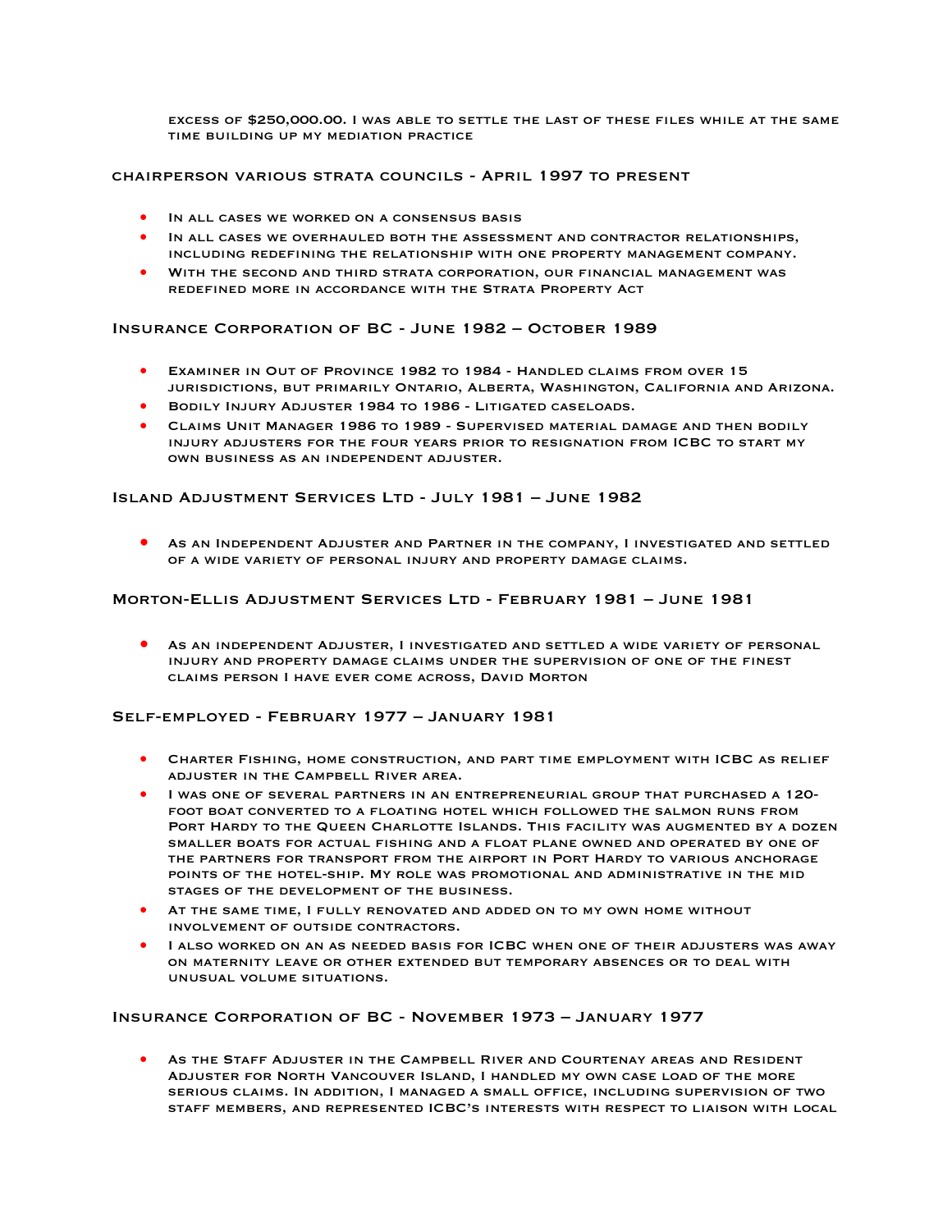excess of \$250,000.00. I was able to settle the last of these files while at the same time building up my mediation practice

#### chairperson various strata councils - April 1997 to present

- IN ALL CASES WE WORKED ON A CONSENSUS BASIS
- IN ALL CASES WE OVERHAULED BOTH THE ASSESSMENT AND CONTRACTOR RELATIONSHIPS, including redefining the relationship with one property management company.
- With the second and third strata corporation, our financial management was redefined more in accordance with the Strata Property Act

#### Insurance Corporation of BC - June 1982 – October 1989

- Examiner in Out of Province 1982 to 1984 Handled claims from over 15 jurisdictions, but primarily Ontario, Alberta, Washington, California and Arizona.
- Bodily Injury Adjuster 1984 to 1986 Litigated caseloads.
- Claims Unit Manager 1986 to 1989 Supervised material damage and then bodily injury adjusters for the four years prior to resignation from ICBC to start my own business as an independent adjuster.

#### Island Adjustment Services Ltd - July 1981 – June 1982

AS AN INDEPENDENT ADJUSTER AND PARTNER IN THE COMPANY, I INVESTIGATED AND SETTLED of a wide variety of personal injury and property damage claims.

#### Morton-Ellis Adjustment Services Ltd - February 1981 – June 1981

• As an independent Adjuster, I investigated and settled a wide variety of personal injury and property damage claims under the supervision of one of the finest claims person I have ever come across, David Morton

#### Self-employed - February 1977 – January 1981

- Charter Fishing, home construction, and part time employment with ICBC as relief adjuster in the Campbell River area.
- I WAS ONE OF SEVERAL PARTNERS IN AN ENTREPRENEURIAL GROUP THAT PURCHASED A 120foot boat converted to a floating hotel which followed the salmon runs from PORT HARDY TO THE QUEEN CHARLOTTE ISLANDS. THIS FACILITY WAS AUGMENTED BY A DOZEN smaller boats for actual fishing and a float plane owned and operated by one of the partners for transport from the airport in Port Hardy to various anchorage points of the hotel-ship. My role was promotional and administrative in the mid stages of the development of the business.
- At the same time, I fully renovated and added on to my own home without involvement of outside contractors.
- I ALSO WORKED ON AN AS NEEDED BASIS FOR ICBC WHEN ONE OF THEIR ADJUSTERS WAS AWAY on maternity leave or other extended but temporary absences or to deal with unusual volume situations.

#### Insurance Corporation of BC - November 1973 – January 1977

• As the Staff Adjuster in the Campbell River and Courtenay areas and Resident Adjuster for North Vancouver Island, I handled my own case load of the more serious claims. In addition, I managed a small office, including supervision of two staff members, and represented ICBC's interests with respect to liaison with local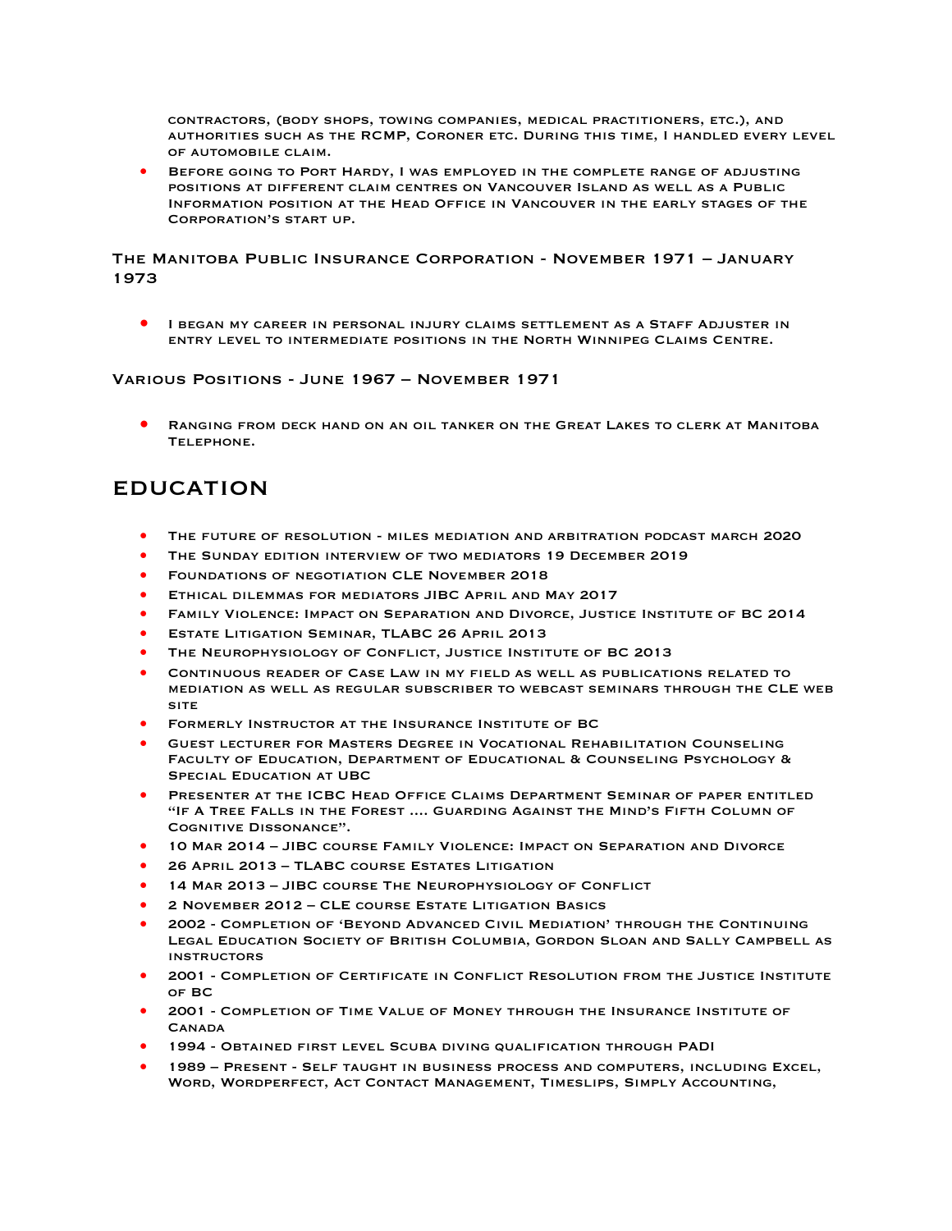contractors, (body shops, towing companies, medical practitioners, etc.), and authorities such as the RCMP, Coroner etc. During this time, I handled every level of automobile claim.

• Before going to Port Hardy, I was employed in the complete range of adjusting positions at different claim centres on Vancouver Island as well as a Public Information position at the Head Office in Vancouver in the early stages of the Corporation's start up.

### The Manitoba Public Insurance Corporation - November 1971 – January 1973

I BEGAN MY CAREER IN PERSONAL INJURY CLAIMS SETTLEMENT AS A STAFF ADJUSTER IN entry level to intermediate positions in the North Winnipeg Claims Centre.

#### Various Positions - June 1967 – November 1971

• Ranging from deck hand on an oil tanker on the Great Lakes to clerk at Manitoba TELEPHONE.

### **EDUCATION**

- The future of resolution miles mediation and arbitration podcast march 2020
- The Sunday edition interview of two mediators 19 December 2019
- Foundations of negotiation CLE November 2018
- Ethical dilemmas for mediators JIBC April and May 2017
- Family Violence: Impact on Separation and Divorce, Justice Institute of BC 2014
- **ESTATE LITIGATION SEMINAR, TLABC 26 APRIL 2013**
- The Neurophysiology of Conflict, Justice Institute of BC 2013
- Continuous reader of Case Law in my field as well as publications related to mediation as well as regular subscriber to webcast seminars through the CLE web site
- Formerly Instructor at the Insurance Institute of BC
- Guest lecturer for Masters Degree in Vocational Rehabilitation Counseling Faculty of Education, Department of Educational & Counseling Psychology & Special Education at UBC
- PRESENTER AT THE ICBC HEAD OFFICE CLAIMS DEPARTMENT SEMINAR OF PAPER ENTITLED "If A Tree Falls in the Forest .... Guarding Against the Mind's Fifth Column of Cognitive Dissonance".
- 10 Mar 2014 JIBC course Family Violence: Impact on Separation and Divorce
- 26 April 2013 TLABC course Estates Litigation
- 14 Mar 2013 JIBC course The Neurophysiology of Conflict
- 2 November 2012 CLE course Estate Litigation Basics
- 2002 Completion of 'Beyond Advanced Civil Mediation' through the Continuing Legal Education Society of British Columbia, Gordon Sloan and Sally Campbell as **INSTRUCTORS**
- 2001 Completion of Certificate in Conflict Resolution from the Justice Institute of BC
- 2001 Completion of Time Value of Money through the Insurance Institute of **CANADA**
- 1994 Obtained first level Scuba diving qualification through PADI
- 1989 Present Self taught in business process and computers, including Excel, Word, Wordperfect, Act Contact Management, Timeslips, Simply Accounting,